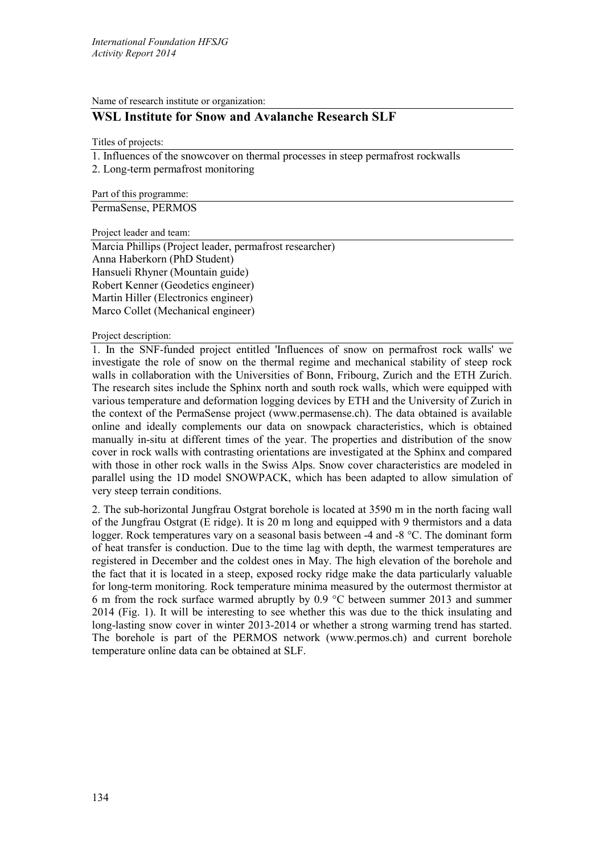Name of research institute or organization:

# **WSL Institute for Snow and Avalanche Research SLF**

Titles of projects:

1. Influences of the snowcover on thermal processes in steep permafrost rockwalls

2. Long-term permafrost monitoring

Part of this programme:

PermaSense, PERMOS

Project leader and team:

Marcia Phillips (Project leader, permafrost researcher) Anna Haberkorn (PhD Student) Hansueli Rhyner (Mountain guide) Robert Kenner (Geodetics engineer) Martin Hiller (Electronics engineer) Marco Collet (Mechanical engineer)

Project description:

1. In the SNF-funded project entitled 'Influences of snow on permafrost rock walls' we investigate the role of snow on the thermal regime and mechanical stability of steep rock walls in collaboration with the Universities of Bonn, Fribourg, Zurich and the ETH Zurich. The research sites include the Sphinx north and south rock walls, which were equipped with various temperature and deformation logging devices by ETH and the University of Zurich in the context of the PermaSense project (www.permasense.ch). The data obtained is available online and ideally complements our data on snowpack characteristics, which is obtained manually in-situ at different times of the year. The properties and distribution of the snow cover in rock walls with contrasting orientations are investigated at the Sphinx and compared with those in other rock walls in the Swiss Alps. Snow cover characteristics are modeled in parallel using the 1D model SNOWPACK, which has been adapted to allow simulation of very steep terrain conditions.

2. The sub-horizontal Jungfrau Ostgrat borehole is located at 3590 m in the north facing wall of the Jungfrau Ostgrat (E ridge). It is 20 m long and equipped with 9 thermistors and a data logger. Rock temperatures vary on a seasonal basis between -4 and -8 °C. The dominant form of heat transfer is conduction. Due to the time lag with depth, the warmest temperatures are registered in December and the coldest ones in May. The high elevation of the borehole and the fact that it is located in a steep, exposed rocky ridge make the data particularly valuable for long-term monitoring. Rock temperature minima measured by the outermost thermistor at 6 m from the rock surface warmed abruptly by 0.9 °C between summer 2013 and summer 2014 (Fig. 1). It will be interesting to see whether this was due to the thick insulating and long-lasting snow cover in winter 2013-2014 or whether a strong warming trend has started. The borehole is part of the PERMOS network (www.permos.ch) and current borehole temperature online data can be obtained at SLF.